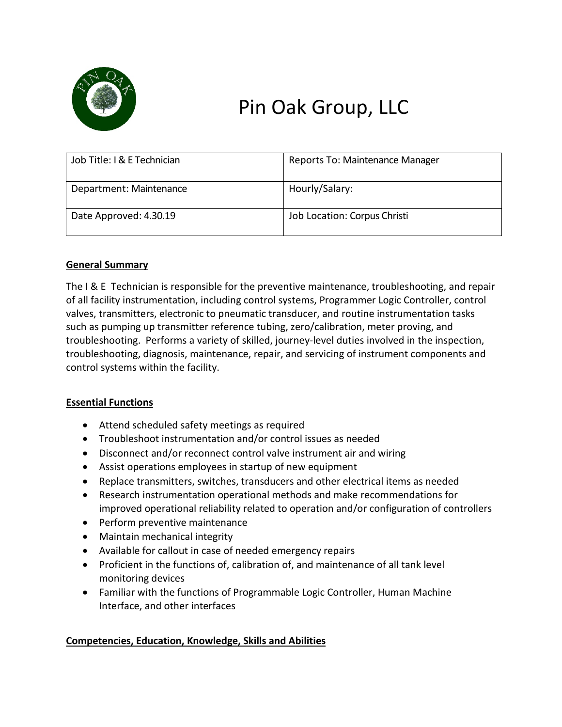

# Pin Oak Group, LLC

| Job Title: I & E Technician | Reports To: Maintenance Manager |
|-----------------------------|---------------------------------|
| Department: Maintenance     | Hourly/Salary:                  |
| Date Approved: 4.30.19      | Job Location: Corpus Christi    |

# **General Summary**

The I & E Technician is responsible for the preventive maintenance, troubleshooting, and repair of all facility instrumentation, including control systems, Programmer Logic Controller, control valves, transmitters, electronic to pneumatic transducer, and routine instrumentation tasks such as pumping up transmitter reference tubing, zero/calibration, meter proving, and troubleshooting. Performs a variety of skilled, journey-level duties involved in the inspection, troubleshooting, diagnosis, maintenance, repair, and servicing of instrument components and control systems within the facility.

#### **Essential Functions**

- Attend scheduled safety meetings as required
- Troubleshoot instrumentation and/or control issues as needed
- Disconnect and/or reconnect control valve instrument air and wiring
- Assist operations employees in startup of new equipment
- Replace transmitters, switches, transducers and other electrical items as needed
- Research instrumentation operational methods and make recommendations for improved operational reliability related to operation and/or configuration of controllers
- Perform preventive maintenance
- Maintain mechanical integrity
- Available for callout in case of needed emergency repairs
- Proficient in the functions of, calibration of, and maintenance of all tank level monitoring devices
- Familiar with the functions of Programmable Logic Controller, Human Machine Interface, and other interfaces

# **Competencies, Education, Knowledge, Skills and Abilities**